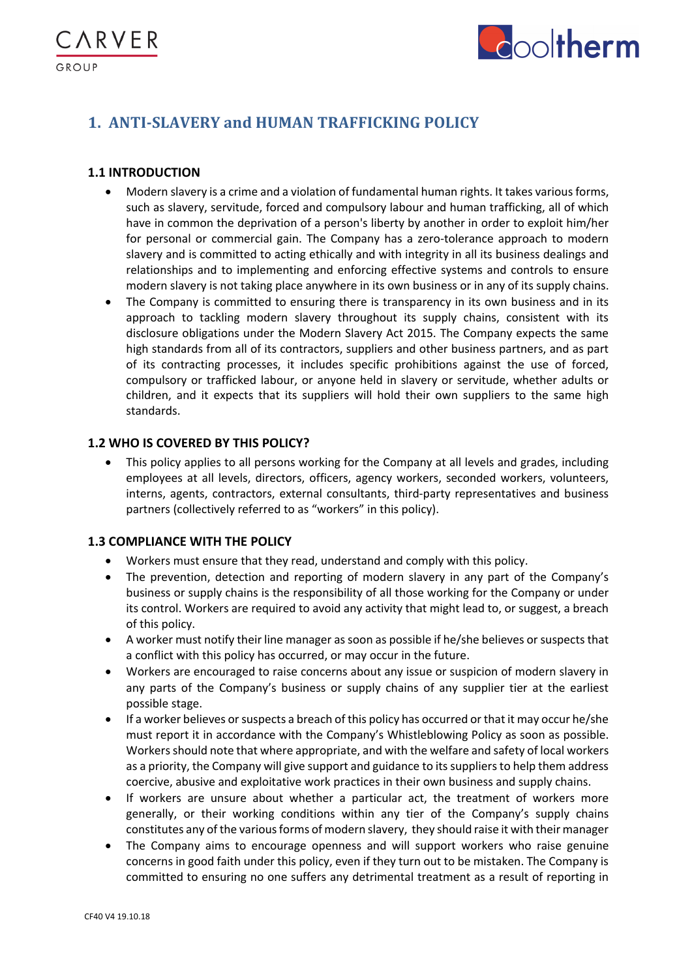

# **1. ANTI-SLAVERY and HUMAN TRAFFICKING POLICY**

# **1.1 INTRODUCTION**

**\RVER** 

GROUP

- Modern slavery is a crime and a violation of fundamental human rights. It takes various forms, such as slavery, servitude, forced and compulsory labour and human trafficking, all of which have in common the deprivation of a person's liberty by another in order to exploit him/her for personal or commercial gain. The Company has a zero-tolerance approach to modern slavery and is committed to acting ethically and with integrity in all its business dealings and relationships and to implementing and enforcing effective systems and controls to ensure modern slavery is not taking place anywhere in its own business or in any of its supply chains.
- The Company is committed to ensuring there is transparency in its own business and in its approach to tackling modern slavery throughout its supply chains, consistent with its disclosure obligations under the Modern Slavery Act 2015. The Company expects the same high standards from all of its contractors, suppliers and other business partners, and as part of its contracting processes, it includes specific prohibitions against the use of forced, compulsory or trafficked labour, or anyone held in slavery or servitude, whether adults or children, and it expects that its suppliers will hold their own suppliers to the same high standards.

# **1.2 WHO IS COVERED BY THIS POLICY?**

• This policy applies to all persons working for the Company at all levels and grades, including employees at all levels, directors, officers, agency workers, seconded workers, volunteers, interns, agents, contractors, external consultants, third-party representatives and business partners (collectively referred to as "workers" in this policy).

# **1.3 COMPLIANCE WITH THE POLICY**

- Workers must ensure that they read, understand and comply with this policy.
- The prevention, detection and reporting of modern slavery in any part of the Company's business or supply chains is the responsibility of all those working for the Company or under its control. Workers are required to avoid any activity that might lead to, or suggest, a breach of this policy.
- A worker must notify their line manager as soon as possible if he/she believes or suspects that a conflict with this policy has occurred, or may occur in the future.
- Workers are encouraged to raise concerns about any issue or suspicion of modern slavery in any parts of the Company's business or supply chains of any supplier tier at the earliest possible stage.
- If a worker believes or suspects a breach of this policy has occurred or that it may occur he/she must report it in accordance with the Company's Whistleblowing Policy as soon as possible. Workers should note that where appropriate, and with the welfare and safety of local workers as a priority, the Company will give support and guidance to its suppliers to help them address coercive, abusive and exploitative work practices in their own business and supply chains.
- If workers are unsure about whether a particular act, the treatment of workers more generally, or their working conditions within any tier of the Company's supply chains constitutes any of the various forms of modern slavery, they should raise it with their manager
- The Company aims to encourage openness and will support workers who raise genuine concerns in good faith under this policy, even if they turn out to be mistaken. The Company is committed to ensuring no one suffers any detrimental treatment as a result of reporting in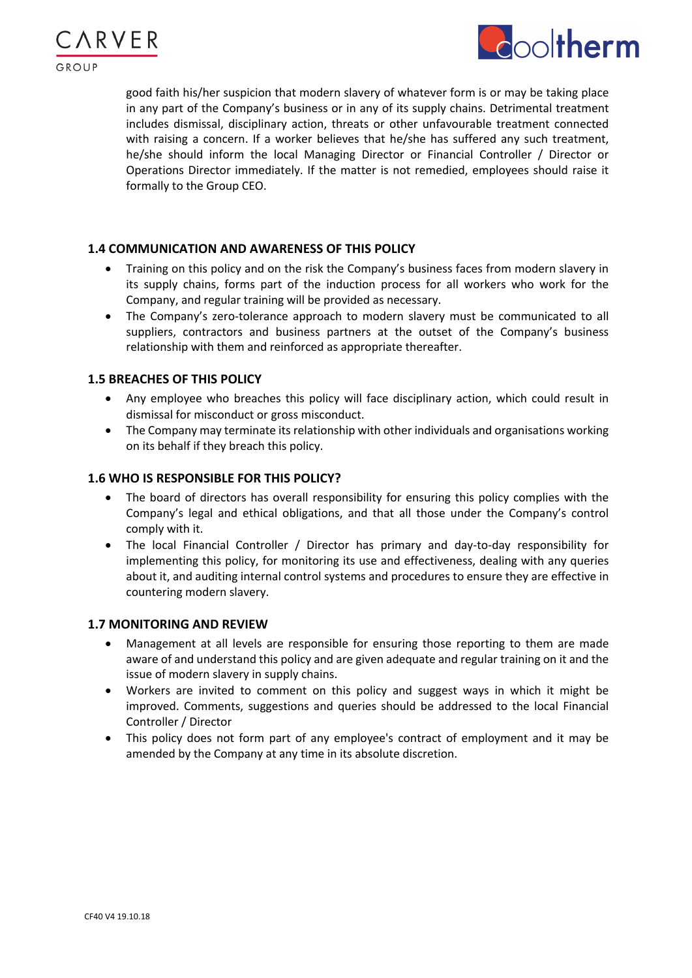



good faith his/her suspicion that modern slavery of whatever form is or may be taking place in any part of the Company's business or in any of its supply chains. Detrimental treatment includes dismissal, disciplinary action, threats or other unfavourable treatment connected with raising a concern. If a worker believes that he/she has suffered any such treatment, he/she should inform the local Managing Director or Financial Controller / Director or Operations Director immediately. If the matter is not remedied, employees should raise it formally to the Group CEO.

### **1.4 COMMUNICATION AND AWARENESS OF THIS POLICY**

- Training on this policy and on the risk the Company's business faces from modern slavery in its supply chains, forms part of the induction process for all workers who work for the Company, and regular training will be provided as necessary.
- The Company's zero-tolerance approach to modern slavery must be communicated to all suppliers, contractors and business partners at the outset of the Company's business relationship with them and reinforced as appropriate thereafter.

### **1.5 BREACHES OF THIS POLICY**

- Any employee who breaches this policy will face disciplinary action, which could result in dismissal for misconduct or gross misconduct.
- The Company may terminate its relationship with other individuals and organisations working on its behalf if they breach this policy.

### **1.6 WHO IS RESPONSIBLE FOR THIS POLICY?**

- The board of directors has overall responsibility for ensuring this policy complies with the Company's legal and ethical obligations, and that all those under the Company's control comply with it.
- The local Financial Controller / Director has primary and day-to-day responsibility for implementing this policy, for monitoring its use and effectiveness, dealing with any queries about it, and auditing internal control systems and procedures to ensure they are effective in countering modern slavery.

### **1.7 MONITORING AND REVIEW**

- Management at all levels are responsible for ensuring those reporting to them are made aware of and understand this policy and are given adequate and regular training on it and the issue of modern slavery in supply chains.
- Workers are invited to comment on this policy and suggest ways in which it might be improved. Comments, suggestions and queries should be addressed to the local Financial Controller / Director
- This policy does not form part of any employee's contract of employment and it may be amended by the Company at any time in its absolute discretion.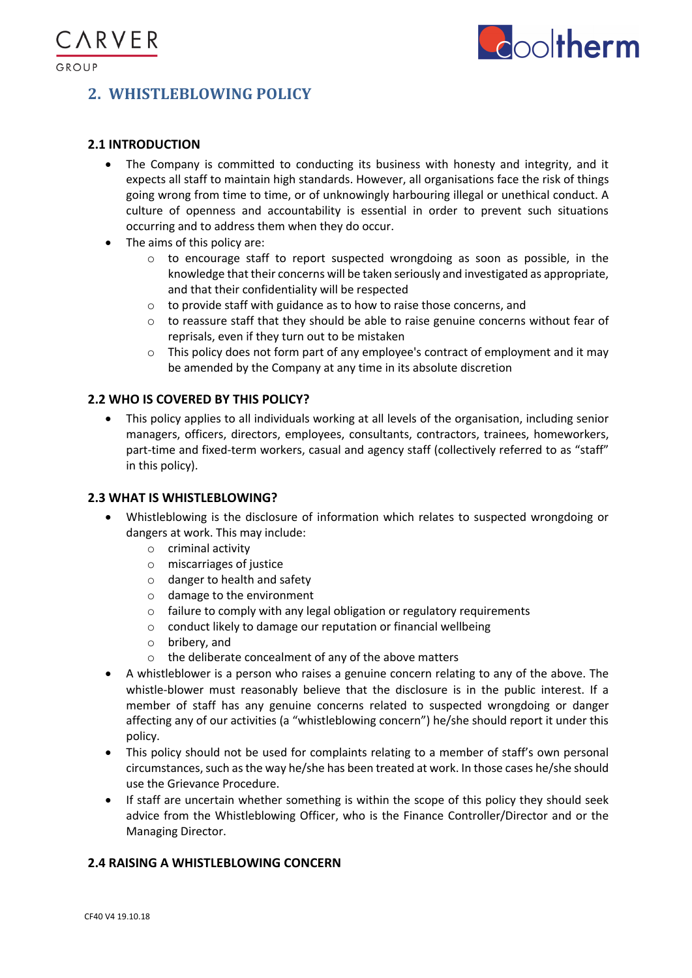

# **2. WHISTLEBLOWING POLICY**

# **2.1 INTRODUCTION**

- The Company is committed to conducting its business with honesty and integrity, and it expects all staff to maintain high standards. However, all organisations face the risk of things going wrong from time to time, or of unknowingly harbouring illegal or unethical conduct. A culture of openness and accountability is essential in order to prevent such situations occurring and to address them when they do occur.
- The aims of this policy are:
	- $\circ$  to encourage staff to report suspected wrongdoing as soon as possible, in the knowledge that their concerns will be taken seriously and investigated as appropriate, and that their confidentiality will be respected
	- o to provide staff with guidance as to how to raise those concerns, and
	- $\circ$  to reassure staff that they should be able to raise genuine concerns without fear of reprisals, even if they turn out to be mistaken
	- $\circ$  This policy does not form part of any employee's contract of employment and it may be amended by the Company at any time in its absolute discretion

# **2.2 WHO IS COVERED BY THIS POLICY?**

• This policy applies to all individuals working at all levels of the organisation, including senior managers, officers, directors, employees, consultants, contractors, trainees, homeworkers, part-time and fixed-term workers, casual and agency staff (collectively referred to as "staff" in this policy).

# **2.3 WHAT IS WHISTLEBLOWING?**

- Whistleblowing is the disclosure of information which relates to suspected wrongdoing or dangers at work. This may include:
	- o criminal activity
	- o miscarriages of justice
	- o danger to health and safety
	- o damage to the environment
	- o failure to comply with any legal obligation or regulatory requirements
	- o conduct likely to damage our reputation or financial wellbeing
	- o bribery, and
	- o the deliberate concealment of any of the above matters
- A whistleblower is a person who raises a genuine concern relating to any of the above. The whistle-blower must reasonably believe that the disclosure is in the public interest. If a member of staff has any genuine concerns related to suspected wrongdoing or danger affecting any of our activities (a "whistleblowing concern") he/she should report it under this policy.
- This policy should not be used for complaints relating to a member of staff's own personal circumstances, such as the way he/she has been treated at work. In those cases he/she should use the Grievance Procedure.
- If staff are uncertain whether something is within the scope of this policy they should seek advice from the Whistleblowing Officer, who is the Finance Controller/Director and or the Managing Director.

# **2.4 RAISING A WHISTLEBLOWING CONCERN**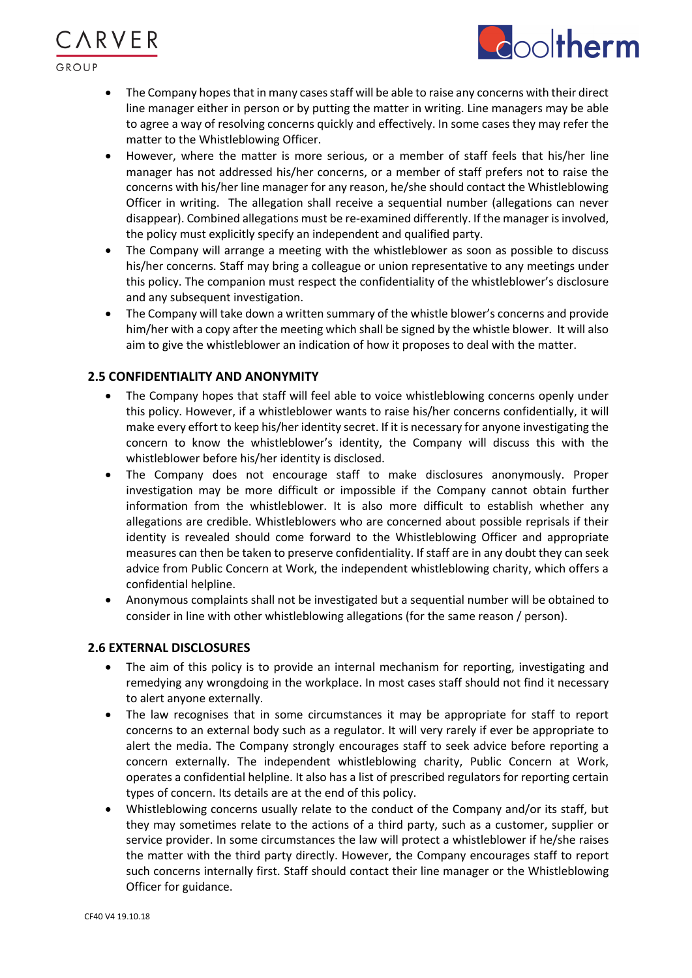GROUP

ARVER

• The Company hopes that in many cases staff will be able to raise any concerns with their direct line manager either in person or by putting the matter in writing. Line managers may be able to agree a way of resolving concerns quickly and effectively. In some cases they may refer the matter to the Whistleblowing Officer.

**coltherm** 

- However, where the matter is more serious, or a member of staff feels that his/her line manager has not addressed his/her concerns, or a member of staff prefers not to raise the concerns with his/her line manager for any reason, he/she should contact the Whistleblowing Officer in writing. The allegation shall receive a sequential number (allegations can never disappear). Combined allegations must be re-examined differently. If the manager is involved, the policy must explicitly specify an independent and qualified party.
- The Company will arrange a meeting with the whistleblower as soon as possible to discuss his/her concerns. Staff may bring a colleague or union representative to any meetings under this policy. The companion must respect the confidentiality of the whistleblower's disclosure and any subsequent investigation.
- The Company will take down a written summary of the whistle blower's concerns and provide him/her with a copy after the meeting which shall be signed by the whistle blower. It will also aim to give the whistleblower an indication of how it proposes to deal with the matter.

### **2.5 CONFIDENTIALITY AND ANONYMITY**

- The Company hopes that staff will feel able to voice whistleblowing concerns openly under this policy. However, if a whistleblower wants to raise his/her concerns confidentially, it will make every effort to keep his/her identity secret. If it is necessary for anyone investigating the concern to know the whistleblower's identity, the Company will discuss this with the whistleblower before his/her identity is disclosed.
- The Company does not encourage staff to make disclosures anonymously. Proper investigation may be more difficult or impossible if the Company cannot obtain further information from the whistleblower. It is also more difficult to establish whether any allegations are credible. Whistleblowers who are concerned about possible reprisals if their identity is revealed should come forward to the Whistleblowing Officer and appropriate measures can then be taken to preserve confidentiality. If staff are in any doubt they can seek advice from Public Concern at Work, the independent whistleblowing charity, which offers a confidential helpline.
- Anonymous complaints shall not be investigated but a sequential number will be obtained to consider in line with other whistleblowing allegations (for the same reason / person).

### **2.6 EXTERNAL DISCLOSURES**

- The aim of this policy is to provide an internal mechanism for reporting, investigating and remedying any wrongdoing in the workplace. In most cases staff should not find it necessary to alert anyone externally.
- The law recognises that in some circumstances it may be appropriate for staff to report concerns to an external body such as a regulator. It will very rarely if ever be appropriate to alert the media. The Company strongly encourages staff to seek advice before reporting a concern externally. The independent whistleblowing charity, Public Concern at Work, operates a confidential helpline. It also has a list of prescribed regulators for reporting certain types of concern. Its details are at the end of this policy.
- Whistleblowing concerns usually relate to the conduct of the Company and/or its staff, but they may sometimes relate to the actions of a third party, such as a customer, supplier or service provider. In some circumstances the law will protect a whistleblower if he/she raises the matter with the third party directly. However, the Company encourages staff to report such concerns internally first. Staff should contact their line manager or the Whistleblowing Officer for guidance.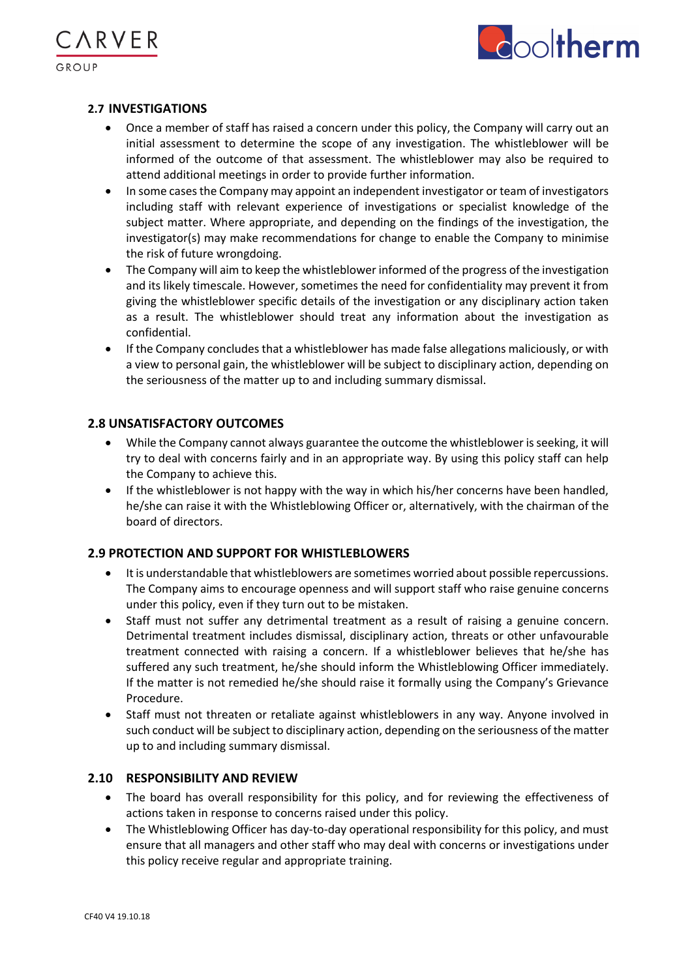

### **2.7 INVESTIGATIONS**

**\RVER** 

- Once a member of staff has raised a concern under this policy, the Company will carry out an initial assessment to determine the scope of any investigation. The whistleblower will be informed of the outcome of that assessment. The whistleblower may also be required to attend additional meetings in order to provide further information.
- In some cases the Company may appoint an independent investigator or team of investigators including staff with relevant experience of investigations or specialist knowledge of the subject matter. Where appropriate, and depending on the findings of the investigation, the investigator(s) may make recommendations for change to enable the Company to minimise the risk of future wrongdoing.
- The Company will aim to keep the whistleblower informed of the progress of the investigation and its likely timescale. However, sometimes the need for confidentiality may prevent it from giving the whistleblower specific details of the investigation or any disciplinary action taken as a result. The whistleblower should treat any information about the investigation as confidential.
- If the Company concludes that a whistleblower has made false allegations maliciously, or with a view to personal gain, the whistleblower will be subject to disciplinary action, depending on the seriousness of the matter up to and including summary dismissal.

### **2.8 UNSATISFACTORY OUTCOMES**

- While the Company cannot always guarantee the outcome the whistleblower is seeking, it will try to deal with concerns fairly and in an appropriate way. By using this policy staff can help the Company to achieve this.
- If the whistleblower is not happy with the way in which his/her concerns have been handled, he/she can raise it with the Whistleblowing Officer or, alternatively, with the chairman of the board of directors.

### **2.9 PROTECTION AND SUPPORT FOR WHISTLEBLOWERS**

- It is understandable that whistleblowers are sometimes worried about possible repercussions. The Company aims to encourage openness and will support staff who raise genuine concerns under this policy, even if they turn out to be mistaken.
- Staff must not suffer any detrimental treatment as a result of raising a genuine concern. Detrimental treatment includes dismissal, disciplinary action, threats or other unfavourable treatment connected with raising a concern. If a whistleblower believes that he/she has suffered any such treatment, he/she should inform the Whistleblowing Officer immediately. If the matter is not remedied he/she should raise it formally using the Company's Grievance Procedure.
- Staff must not threaten or retaliate against whistleblowers in any way. Anyone involved in such conduct will be subject to disciplinary action, depending on the seriousness of the matter up to and including summary dismissal.

### **2.10 RESPONSIBILITY AND REVIEW**

- The board has overall responsibility for this policy, and for reviewing the effectiveness of actions taken in response to concerns raised under this policy.
- The Whistleblowing Officer has day-to-day operational responsibility for this policy, and must ensure that all managers and other staff who may deal with concerns or investigations under this policy receive regular and appropriate training.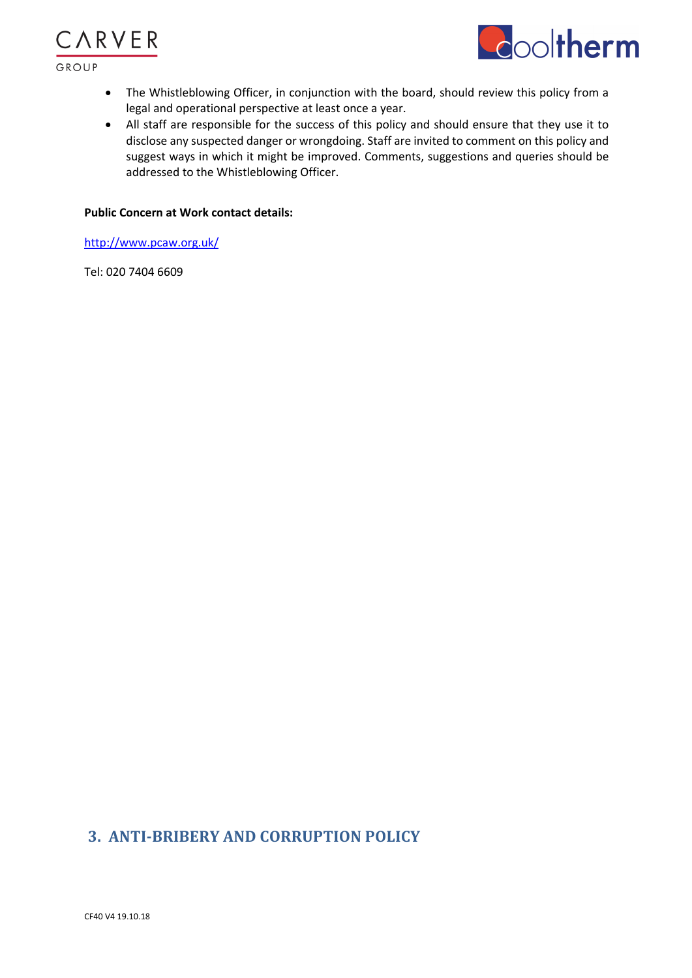



- The Whistleblowing Officer, in conjunction with the board, should review this policy from a legal and operational perspective at least once a year.
- All staff are responsible for the success of this policy and should ensure that they use it to disclose any suspected danger or wrongdoing. Staff are invited to comment on this policy and suggest ways in which it might be improved. Comments, suggestions and queries should be addressed to the Whistleblowing Officer.

#### **Public Concern at Work contact details:**

http://www.pcaw.org.uk/

Tel: 020 7404 6609

# **3. ANTI-BRIBERY AND CORRUPTION POLICY**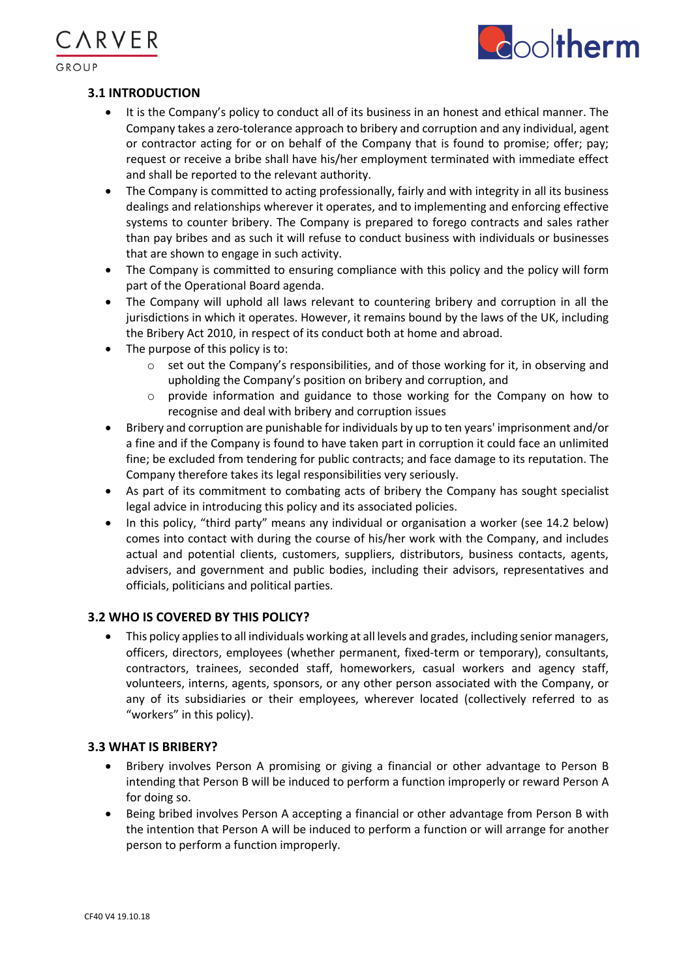

### **3.1 INTRODUCTION**

**\RVER** 

- It is the Company's policy to conduct all of its business in an honest and ethical manner. The Company takes a zero-tolerance approach to bribery and corruption and any individual, agent or contractor acting for or on behalf of the Company that is found to promise; offer; pay; request or receive a bribe shall have his/her employment terminated with immediate effect and shall be reported to the relevant authority.
- The Company is committed to acting professionally, fairly and with integrity in all its business dealings and relationships wherever it operates, and to implementing and enforcing effective systems to counter bribery. The Company is prepared to forego contracts and sales rather than pay bribes and as such it will refuse to conduct business with individuals or businesses that are shown to engage in such activity.
- The Company is committed to ensuring compliance with this policy and the policy will form part of the Operational Board agenda.
- The Company will uphold all laws relevant to countering bribery and corruption in all the jurisdictions in which it operates. However, it remains bound by the laws of the UK, including the Bribery Act 2010, in respect of its conduct both at home and abroad.
- The purpose of this policy is to:
	- $\circ$  set out the Company's responsibilities, and of those working for it, in observing and upholding the Company's position on bribery and corruption, and
	- o provide information and guidance to those working for the Company on how to recognise and deal with bribery and corruption issues
- Bribery and corruption are punishable for individuals by up to ten years' imprisonment and/or a fine and if the Company is found to have taken part in corruption it could face an unlimited fine; be excluded from tendering for public contracts; and face damage to its reputation. The Company therefore takes its legal responsibilities very seriously.
- As part of its commitment to combating acts of bribery the Company has sought specialist legal advice in introducing this policy and its associated policies.
- In this policy, "third party" means any individual or organisation a worker (see 14.2 below) comes into contact with during the course of his/her work with the Company, and includes actual and potential clients, customers, suppliers, distributors, business contacts, agents, advisers, and government and public bodies, including their advisors, representatives and officials, politicians and political parties.

### **3.2 WHO IS COVERED BY THIS POLICY?**

• This policy applies to all individuals working at all levels and grades, including senior managers, officers, directors, employees (whether permanent, fixed-term or temporary), consultants, contractors, trainees, seconded staff, homeworkers, casual workers and agency staff, volunteers, interns, agents, sponsors, or any other person associated with the Company, or any of its subsidiaries or their employees, wherever located (collectively referred to as "workers" in this policy).

### **3.3 WHAT IS BRIBERY?**

- Bribery involves Person A promising or giving a financial or other advantage to Person B intending that Person B will be induced to perform a function improperly or reward Person A for doing so.
- Being bribed involves Person A accepting a financial or other advantage from Person B with the intention that Person A will be induced to perform a function or will arrange for another person to perform a function improperly.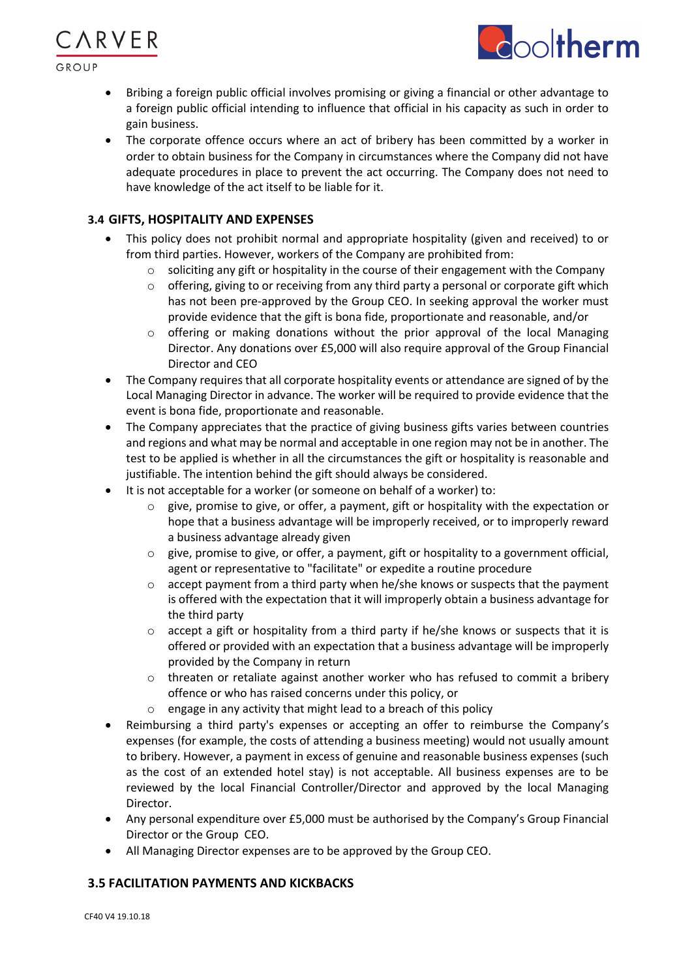

**\RVER** 



- Bribing a foreign public official involves promising or giving a financial or other advantage to a foreign public official intending to influence that official in his capacity as such in order to gain business.
- The corporate offence occurs where an act of bribery has been committed by a worker in order to obtain business for the Company in circumstances where the Company did not have adequate procedures in place to prevent the act occurring. The Company does not need to have knowledge of the act itself to be liable for it.

# **3.4 GIFTS, HOSPITALITY AND EXPENSES**

- This policy does not prohibit normal and appropriate hospitality (given and received) to or from third parties. However, workers of the Company are prohibited from:
	- $\circ$  soliciting any gift or hospitality in the course of their engagement with the Company
	- o offering, giving to or receiving from any third party a personal or corporate gift which has not been pre-approved by the Group CEO. In seeking approval the worker must provide evidence that the gift is bona fide, proportionate and reasonable, and/or
	- $\circ$  offering or making donations without the prior approval of the local Managing Director. Any donations over £5,000 will also require approval of the Group Financial Director and CEO
- The Company requires that all corporate hospitality events or attendance are signed of by the Local Managing Director in advance. The worker will be required to provide evidence that the event is bona fide, proportionate and reasonable.
- The Company appreciates that the practice of giving business gifts varies between countries and regions and what may be normal and acceptable in one region may not be in another. The test to be applied is whether in all the circumstances the gift or hospitality is reasonable and justifiable. The intention behind the gift should always be considered.
- It is not acceptable for a worker (or someone on behalf of a worker) to:
	- give, promise to give, or offer, a payment, gift or hospitality with the expectation or hope that a business advantage will be improperly received, or to improperly reward a business advantage already given
	- o give, promise to give, or offer, a payment, gift or hospitality to a government official, agent or representative to "facilitate" or expedite a routine procedure
	- $\circ$  accept payment from a third party when he/she knows or suspects that the payment is offered with the expectation that it will improperly obtain a business advantage for the third party
	- $\circ$  accept a gift or hospitality from a third party if he/she knows or suspects that it is offered or provided with an expectation that a business advantage will be improperly provided by the Company in return
	- $\circ$  threaten or retaliate against another worker who has refused to commit a bribery offence or who has raised concerns under this policy, or
	- $\circ$  engage in any activity that might lead to a breach of this policy
- Reimbursing a third party's expenses or accepting an offer to reimburse the Company's expenses (for example, the costs of attending a business meeting) would not usually amount to bribery. However, a payment in excess of genuine and reasonable business expenses (such as the cost of an extended hotel stay) is not acceptable. All business expenses are to be reviewed by the local Financial Controller/Director and approved by the local Managing Director.
- Any personal expenditure over £5,000 must be authorised by the Company's Group Financial Director or the Group CEO.
- All Managing Director expenses are to be approved by the Group CEO.

# **3.5 FACILITATION PAYMENTS AND KICKBACKS**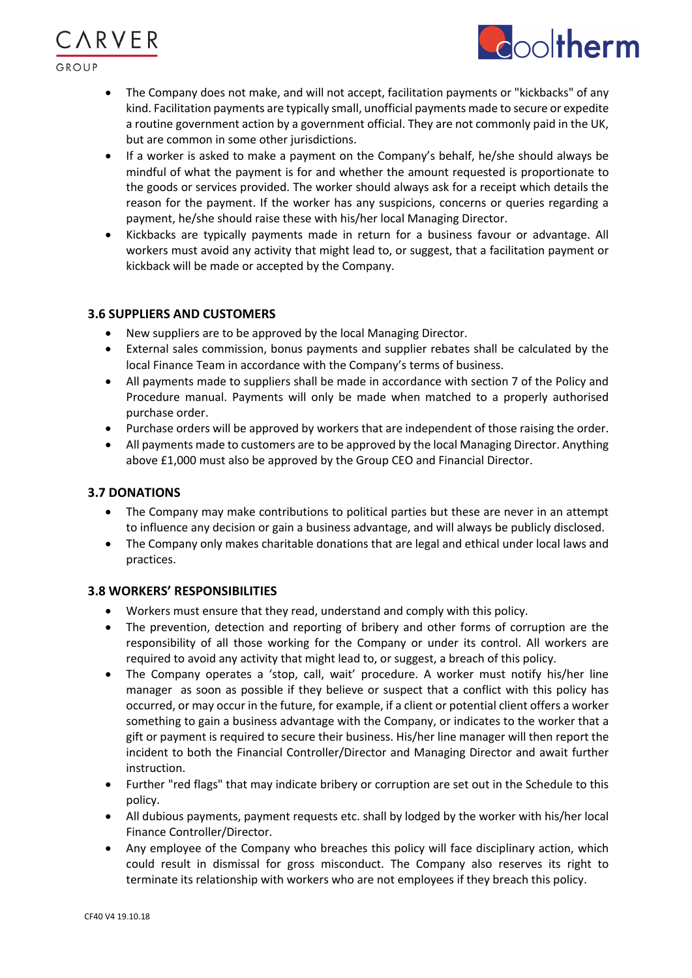$GROIIP$ 

**\RVER** 

• The Company does not make, and will not accept, facilitation payments or "kickbacks" of any kind. Facilitation payments are typically small, unofficial payments made to secure or expedite a routine government action by a government official. They are not commonly paid in the UK, but are common in some other jurisdictions.

ooltherm

- If a worker is asked to make a payment on the Company's behalf, he/she should always be mindful of what the payment is for and whether the amount requested is proportionate to the goods or services provided. The worker should always ask for a receipt which details the reason for the payment. If the worker has any suspicions, concerns or queries regarding a payment, he/she should raise these with his/her local Managing Director.
- Kickbacks are typically payments made in return for a business favour or advantage. All workers must avoid any activity that might lead to, or suggest, that a facilitation payment or kickback will be made or accepted by the Company.

### **3.6 SUPPLIERS AND CUSTOMERS**

- New suppliers are to be approved by the local Managing Director.
- External sales commission, bonus payments and supplier rebates shall be calculated by the local Finance Team in accordance with the Company's terms of business.
- All payments made to suppliers shall be made in accordance with section 7 of the Policy and Procedure manual. Payments will only be made when matched to a properly authorised purchase order.
- Purchase orders will be approved by workers that are independent of those raising the order.
- All payments made to customers are to be approved by the local Managing Director. Anything above £1,000 must also be approved by the Group CEO and Financial Director.

# **3.7 DONATIONS**

- The Company may make contributions to political parties but these are never in an attempt to influence any decision or gain a business advantage, and will always be publicly disclosed.
- The Company only makes charitable donations that are legal and ethical under local laws and practices.

### **3.8 WORKERS' RESPONSIBILITIES**

- Workers must ensure that they read, understand and comply with this policy.
- The prevention, detection and reporting of bribery and other forms of corruption are the responsibility of all those working for the Company or under its control. All workers are required to avoid any activity that might lead to, or suggest, a breach of this policy.
- The Company operates a 'stop, call, wait' procedure. A worker must notify his/her line manager as soon as possible if they believe or suspect that a conflict with this policy has occurred, or may occur in the future, for example, if a client or potential client offers a worker something to gain a business advantage with the Company, or indicates to the worker that a gift or payment is required to secure their business. His/her line manager will then report the incident to both the Financial Controller/Director and Managing Director and await further instruction.
- Further "red flags" that may indicate bribery or corruption are set out in the Schedule to this policy.
- All dubious payments, payment requests etc. shall by lodged by the worker with his/her local Finance Controller/Director.
- Any employee of the Company who breaches this policy will face disciplinary action, which could result in dismissal for gross misconduct. The Company also reserves its right to terminate its relationship with workers who are not employees if they breach this policy.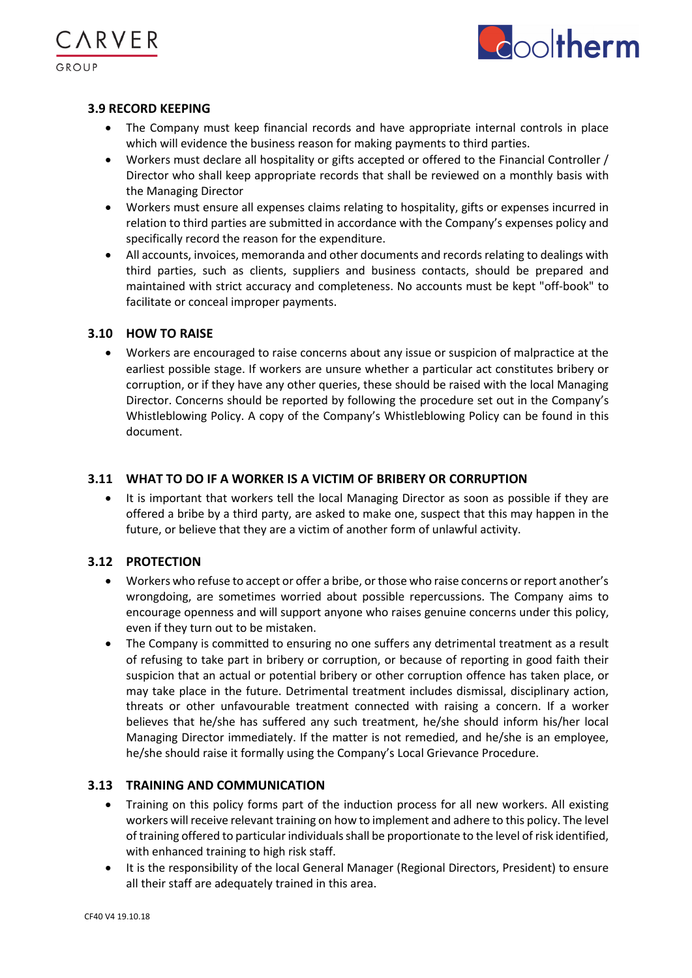



### **3.9 RECORD KEEPING**

- The Company must keep financial records and have appropriate internal controls in place which will evidence the business reason for making payments to third parties.
- Workers must declare all hospitality or gifts accepted or offered to the Financial Controller / Director who shall keep appropriate records that shall be reviewed on a monthly basis with the Managing Director
- Workers must ensure all expenses claims relating to hospitality, gifts or expenses incurred in relation to third parties are submitted in accordance with the Company's expenses policy and specifically record the reason for the expenditure.
- All accounts, invoices, memoranda and other documents and records relating to dealings with third parties, such as clients, suppliers and business contacts, should be prepared and maintained with strict accuracy and completeness. No accounts must be kept "off-book" to facilitate or conceal improper payments.

### **3.10 HOW TO RAISE**

• Workers are encouraged to raise concerns about any issue or suspicion of malpractice at the earliest possible stage. If workers are unsure whether a particular act constitutes bribery or corruption, or if they have any other queries, these should be raised with the local Managing Director. Concerns should be reported by following the procedure set out in the Company's Whistleblowing Policy. A copy of the Company's Whistleblowing Policy can be found in this document.

### **3.11 WHAT TO DO IF A WORKER IS A VICTIM OF BRIBERY OR CORRUPTION**

• It is important that workers tell the local Managing Director as soon as possible if they are offered a bribe by a third party, are asked to make one, suspect that this may happen in the future, or believe that they are a victim of another form of unlawful activity.

### **3.12 PROTECTION**

- Workers who refuse to accept or offer a bribe, or those who raise concerns or report another's wrongdoing, are sometimes worried about possible repercussions. The Company aims to encourage openness and will support anyone who raises genuine concerns under this policy, even if they turn out to be mistaken.
- The Company is committed to ensuring no one suffers any detrimental treatment as a result of refusing to take part in bribery or corruption, or because of reporting in good faith their suspicion that an actual or potential bribery or other corruption offence has taken place, or may take place in the future. Detrimental treatment includes dismissal, disciplinary action, threats or other unfavourable treatment connected with raising a concern. If a worker believes that he/she has suffered any such treatment, he/she should inform his/her local Managing Director immediately. If the matter is not remedied, and he/she is an employee, he/she should raise it formally using the Company's Local Grievance Procedure.

### **3.13 TRAINING AND COMMUNICATION**

- Training on this policy forms part of the induction process for all new workers. All existing workers will receive relevant training on how to implement and adhere to this policy. The level of training offered to particular individuals shall be proportionate to the level of risk identified, with enhanced training to high risk staff.
- It is the responsibility of the local General Manager (Regional Directors, President) to ensure all their staff are adequately trained in this area.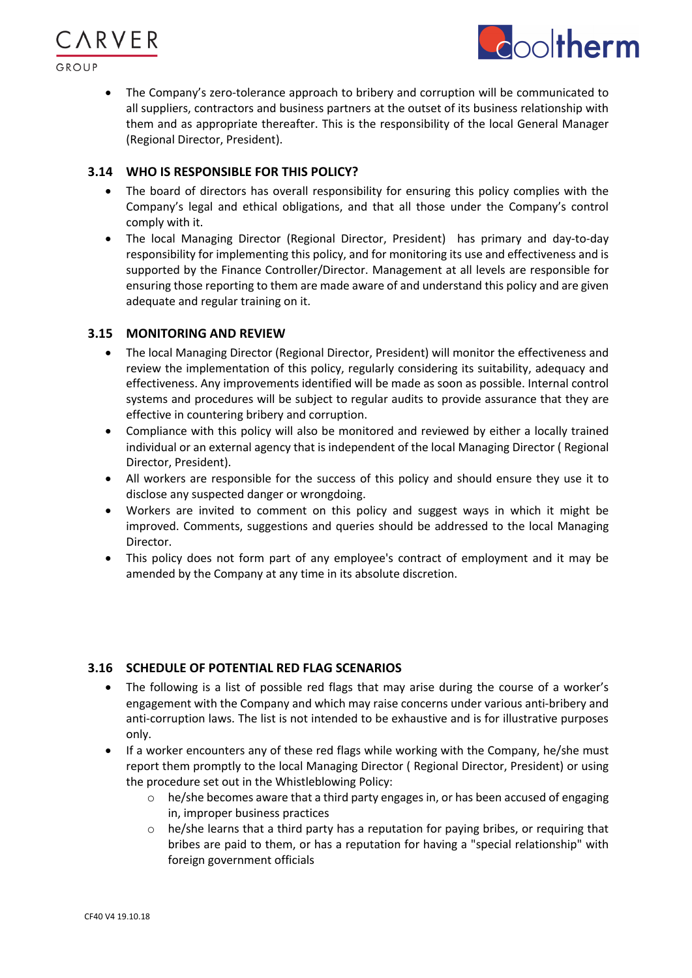



• The Company's zero-tolerance approach to bribery and corruption will be communicated to all suppliers, contractors and business partners at the outset of its business relationship with them and as appropriate thereafter. This is the responsibility of the local General Manager (Regional Director, President).

### **3.14 WHO IS RESPONSIBLE FOR THIS POLICY?**

- The board of directors has overall responsibility for ensuring this policy complies with the Company's legal and ethical obligations, and that all those under the Company's control comply with it.
- The local Managing Director (Regional Director, President) has primary and day-to-day responsibility for implementing this policy, and for monitoring its use and effectiveness and is supported by the Finance Controller/Director. Management at all levels are responsible for ensuring those reporting to them are made aware of and understand this policy and are given adequate and regular training on it.

### **3.15 MONITORING AND REVIEW**

- The local Managing Director (Regional Director, President) will monitor the effectiveness and review the implementation of this policy, regularly considering its suitability, adequacy and effectiveness. Any improvements identified will be made as soon as possible. Internal control systems and procedures will be subject to regular audits to provide assurance that they are effective in countering bribery and corruption.
- Compliance with this policy will also be monitored and reviewed by either a locally trained individual or an external agency that is independent of the local Managing Director ( Regional Director, President).
- All workers are responsible for the success of this policy and should ensure they use it to disclose any suspected danger or wrongdoing.
- Workers are invited to comment on this policy and suggest ways in which it might be improved. Comments, suggestions and queries should be addressed to the local Managing Director.
- This policy does not form part of any employee's contract of employment and it may be amended by the Company at any time in its absolute discretion.

# **3.16 SCHEDULE OF POTENTIAL RED FLAG SCENARIOS**

- The following is a list of possible red flags that may arise during the course of a worker's engagement with the Company and which may raise concerns under various anti-bribery and anti-corruption laws. The list is not intended to be exhaustive and is for illustrative purposes only.
- If a worker encounters any of these red flags while working with the Company, he/she must report them promptly to the local Managing Director ( Regional Director, President) or using the procedure set out in the Whistleblowing Policy:
	- $\circ$  he/she becomes aware that a third party engages in, or has been accused of engaging in, improper business practices
	- $\circ$  he/she learns that a third party has a reputation for paying bribes, or requiring that bribes are paid to them, or has a reputation for having a "special relationship" with foreign government officials